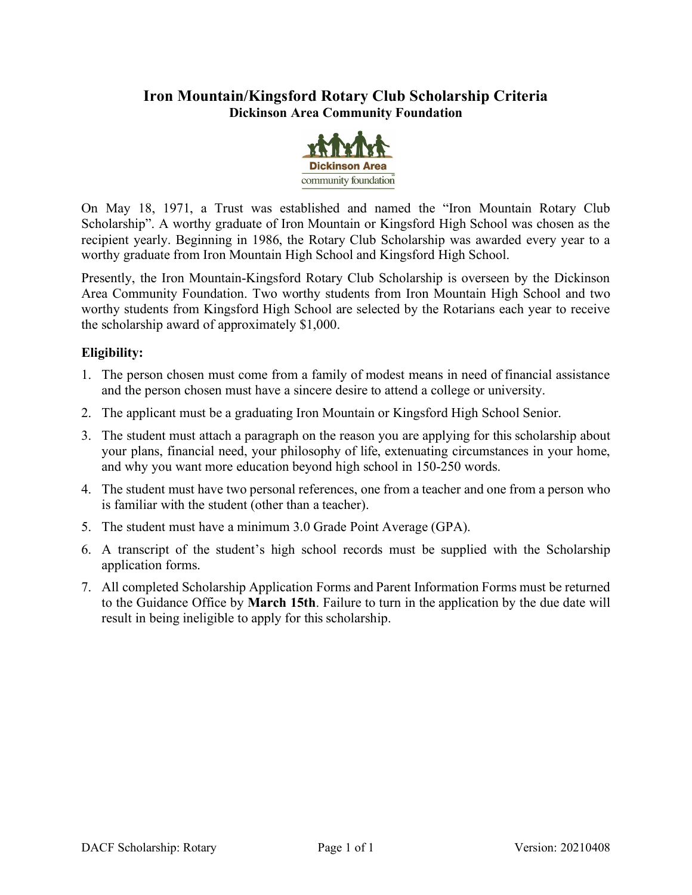# **Iron Mountain/Kingsford Rotary Club Scholarship Criteria Dickinson Area Community Foundation**



On May 18, 1971, a Trust was established and named the "Iron Mountain Rotary Club Scholarship". A worthy graduate of Iron Mountain or Kingsford High School was chosen as the recipient yearly. Beginning in 1986, the Rotary Club Scholarship was awarded every year to a worthy graduate from Iron Mountain High School and Kingsford High School.

Presently, the Iron Mountain-Kingsford Rotary Club Scholarship is overseen by the Dickinson Area Community Foundation. Two worthy students from Iron Mountain High School and two worthy students from Kingsford High School are selected by the Rotarians each year to receive the scholarship award of approximately \$1,000.

## **Eligibility:**

- 1. The person chosen must come from a family of modest means in need of financial assistance and the person chosen must have a sincere desire to attend a college or university.
- 2. The applicant must be a graduating Iron Mountain or Kingsford High School Senior.
- 3. The student must attach a paragraph on the reason you are applying for this scholarship about your plans, financial need, your philosophy of life, extenuating circumstances in your home, and why you want more education beyond high school in 150-250 words.
- 4. The student must have two personal references, one from a teacher and one from a person who is familiar with the student (other than a teacher).
- 5. The student must have a minimum 3.0 Grade Point Average (GPA).
- 6. A transcript of the student's high school records must be supplied with the Scholarship application forms.
- 7. All completed Scholarship Application Forms and Parent Information Forms must be returned to the Guidance Office by **March 15th**. Failure to turn in the application by the due date will result in being ineligible to apply for this scholarship.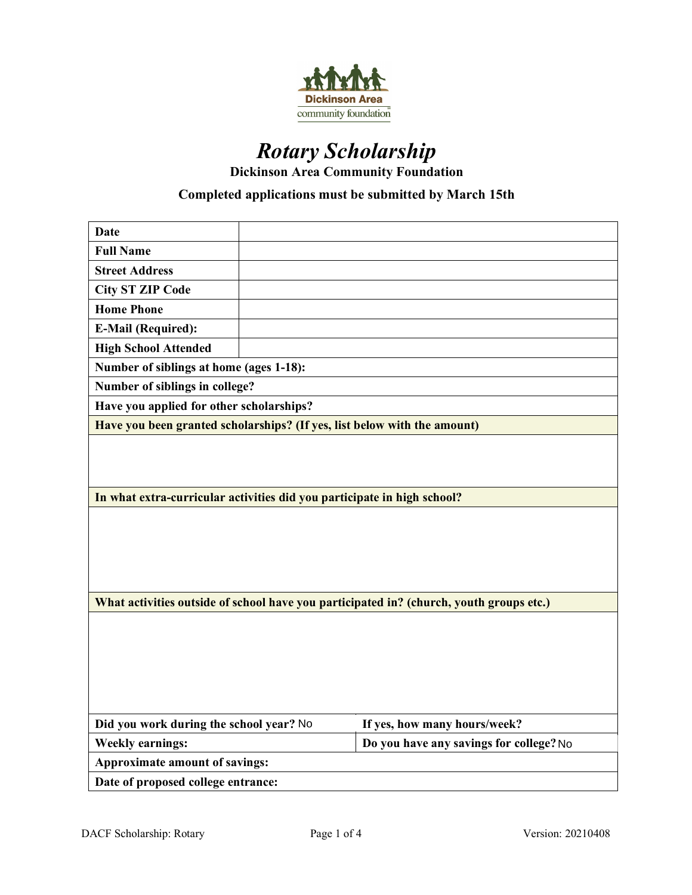

# *Rotary Scholarship*

**Dickinson Area Community Foundation**

## **Completed applications must be submitted by March 15th**

| <b>Date</b>                                                                             |  |                                         |  |  |
|-----------------------------------------------------------------------------------------|--|-----------------------------------------|--|--|
| <b>Full Name</b>                                                                        |  |                                         |  |  |
| <b>Street Address</b>                                                                   |  |                                         |  |  |
| <b>City ST ZIP Code</b>                                                                 |  |                                         |  |  |
| <b>Home Phone</b>                                                                       |  |                                         |  |  |
| <b>E-Mail (Required):</b>                                                               |  |                                         |  |  |
| <b>High School Attended</b>                                                             |  |                                         |  |  |
| Number of siblings at home (ages 1-18):                                                 |  |                                         |  |  |
| Number of siblings in college?                                                          |  |                                         |  |  |
| Have you applied for other scholarships?                                                |  |                                         |  |  |
| Have you been granted scholarships? (If yes, list below with the amount)                |  |                                         |  |  |
|                                                                                         |  |                                         |  |  |
|                                                                                         |  |                                         |  |  |
|                                                                                         |  |                                         |  |  |
| In what extra-curricular activities did you participate in high school?                 |  |                                         |  |  |
|                                                                                         |  |                                         |  |  |
|                                                                                         |  |                                         |  |  |
|                                                                                         |  |                                         |  |  |
|                                                                                         |  |                                         |  |  |
| What activities outside of school have you participated in? (church, youth groups etc.) |  |                                         |  |  |
|                                                                                         |  |                                         |  |  |
|                                                                                         |  |                                         |  |  |
|                                                                                         |  |                                         |  |  |
|                                                                                         |  |                                         |  |  |
|                                                                                         |  |                                         |  |  |
|                                                                                         |  |                                         |  |  |
| Did you work during the school year? No                                                 |  | If yes, how many hours/week?            |  |  |
| <b>Weekly earnings:</b>                                                                 |  | Do you have any savings for college? No |  |  |
| Approximate amount of savings:                                                          |  |                                         |  |  |
| Date of proposed college entrance:                                                      |  |                                         |  |  |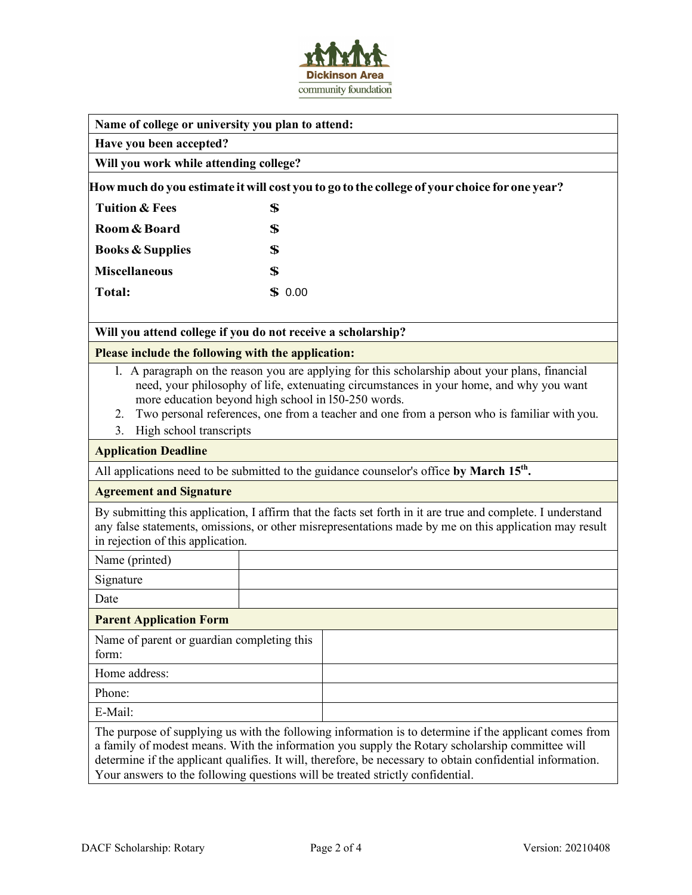

**Have you been accepted?**

**Will you work while attending college?**

**Howmuch do you estimate itwill cost you to go to the college of your choice for one year?** 

| Tuition & Fees              | S              |
|-----------------------------|----------------|
| Room & Board                | S              |
| <b>Books &amp; Supplies</b> | S              |
| <b>Miscellaneous</b>        | Я              |
| <b>Total:</b>               | $\bullet$ 0.00 |

## **Will you attend college if you do not receive a scholarship?**

#### **Please include the following with the application:**

- l. A paragraph on the reason you are applying for this scholarship about your plans, financial need, your philosophy of life, extenuating circumstances in your home, and why you want more education beyond high school in l50-250 words.
- 2. Two personal references, one from a teacher and one from a person who is familiar with you.
- 3. High school transcripts

#### **Application Deadline**

All applications need to be submitted to the guidance counselor's office by March 15<sup>th</sup>.

#### **Agreement and Signature**

By submitting this application, I affirm that the facts set forth in it are true and complete. I understand any false statements, omissions, or other misrepresentations made by me on this application may result in rejection of this application.

Name (printed)

Signature

Date

## **Parent Application Form**

| Name of parent or guardian completing this<br>form: |  |
|-----------------------------------------------------|--|
| Home address:                                       |  |
| Phone:                                              |  |
| E-Mail:                                             |  |

The purpose of supplying us with the following information is to determine if the applicant comes from a family of modest means. With the information you supply the Rotary scholarship committee will determine if the applicant qualifies. It will, therefore, be necessary to obtain confidential information. Your answers to the following questions will be treated strictly confidential.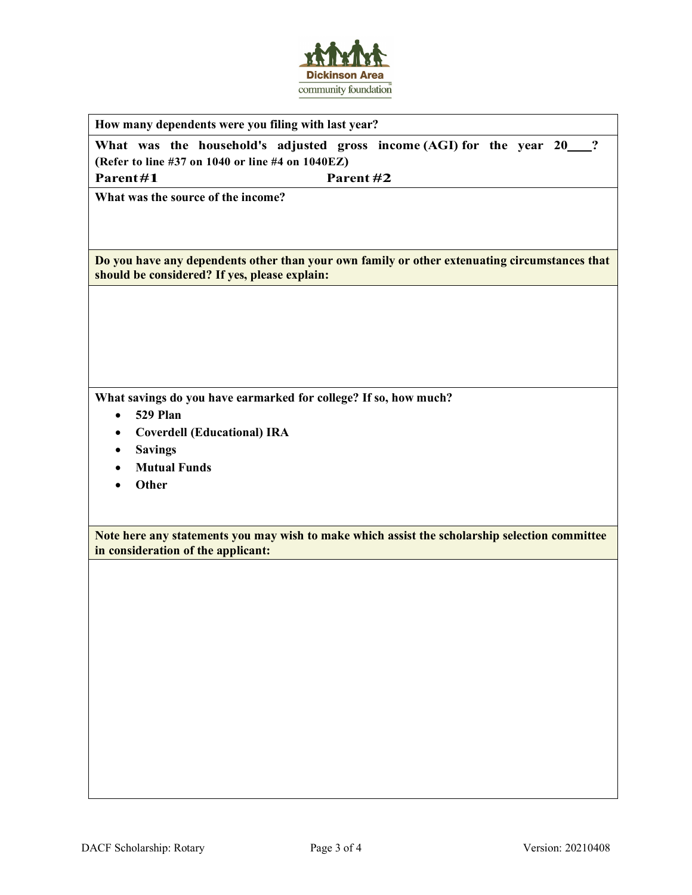

**How many dependents were you filing with last year?**

What was the household's adjusted gross income (AGI) for the year 20 <sup>?</sup> **(Refer to line #37 on 1040 or line #4 on 1040EZ)**

**Parent#1 Parent #2** 

**What was the source of the income?**

**Do you have any dependents other than your own family or other extenuating circumstances that should be considered? If yes, please explain:**

**What savings do you have earmarked for college? If so, how much?**

- **529 Plan**
- **Coverdell (Educational) IRA**
- **Savings**
- **Mutual Funds**
- **Other**

**Note here any statements you may wish to make which assist the scholarship selection committee in consideration of the applicant:**